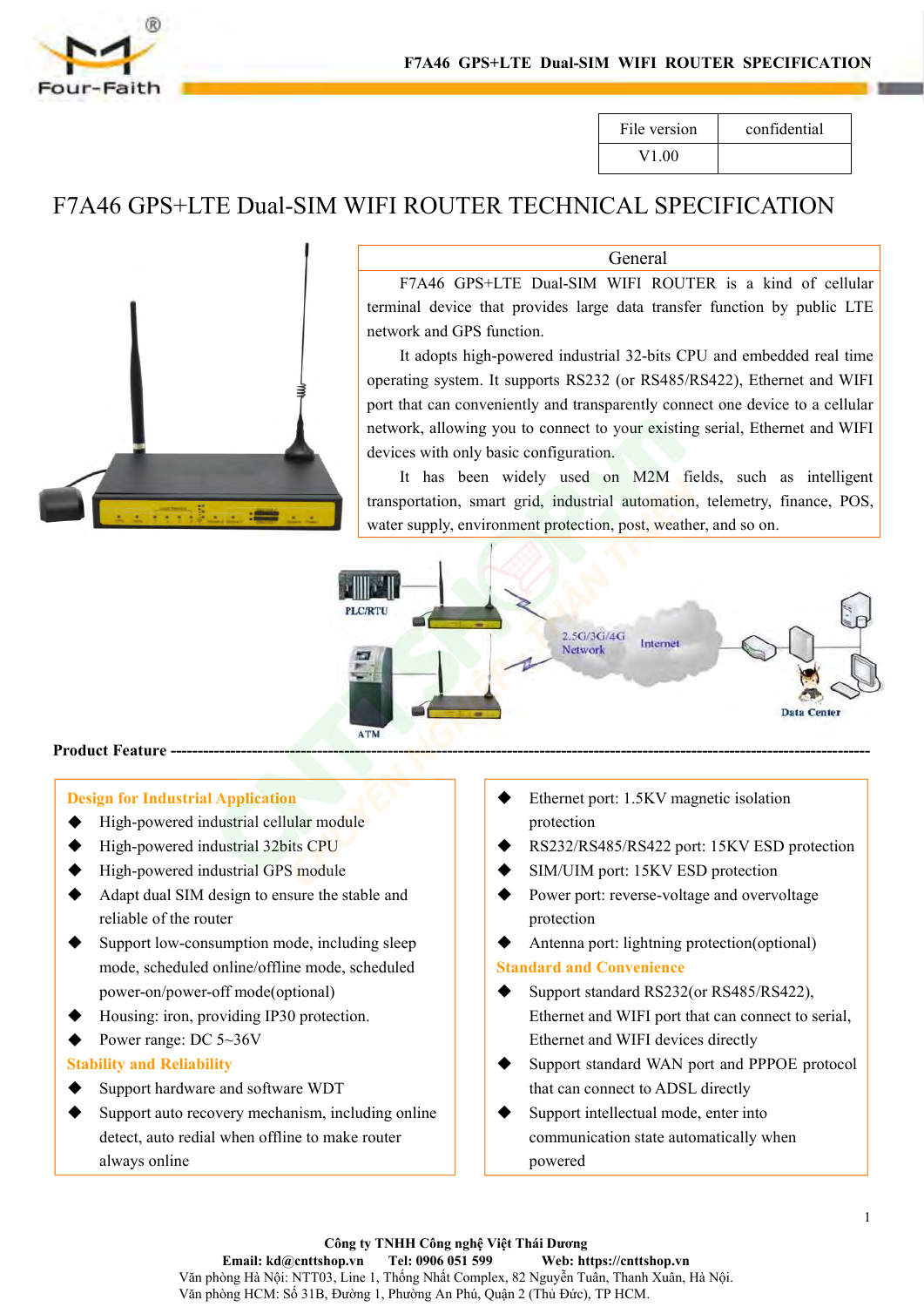

|              | <b>A WIFI ROUTER SPECIFICATION</b> |  |
|--------------|------------------------------------|--|
|              |                                    |  |
| File version | confidential                       |  |
| V1.00        |                                    |  |



**General** 

F7A46 GPS+LTE Dual-SIM WIFI ROUTER SPECIFICATION<br>
File version confidential<br>
V1.00<br>
ROUTER TECHNICAL SPECIFICATION<br>
General<br>
F7A46 GPS+LTE Dual-SIM WIFI ROUTER is a kind of cellular<br>
Inal device that provides large data tr FIAND STATE DUAL-SIM WHT ROUTER SECENTION<br>
FILE VERSION<br>
FIRE PULLER TECHNICAL SPECIFICATION<br>
General<br>
F7A46 GPS+LTE Dual-SIM WIFI ROUTER is a kind of cellular<br>
terminal device that provides large data transfer function by File version<br>
V1.00<br>
IFI ROUTER TECHNICAL SPECIF<br>
General<br>
F7A46 GPS+LTE Dual-SIM WIFI ROUTER is<br>
terminal device that provides large data transfer func<br>
network and GPS function.<br>
It adopts high-powered industrial 32-bits

File version confidential<br>
V1.00<br>
ROUTER TECHNICAL SPECIFICATION<br>
General<br>
F7A46 GPS+LTE Dual-SIM WIFI ROUTER is a kind of cellular<br>
mal device that provides large data transfer function by public LTE<br>
ork and GPS function V1.00<br> **IFI ROUTER TECHNICAL SPECIFICATION**<br> **General**<br>
F7A46 GPS+LTE Dual-SIM WIFI ROUTER is a kind of cellular<br>
terminal device that provides large data transfer function by public LTE<br>
network and GPS function.<br>
It adop FI ROUTER TECHNICAL SPECIFICATION<br>
General<br>
F7A46 GPS+LTE Dual-SIM WIFI ROUTER is a kind of cellular<br>
terminal device that provides large data transfer function by public LTE<br>
network and GPS function.<br>
It adopts high-powe THE ROUTER TECHNICAL SPECIFICATION<br>
General<br>
F7A46 GPS+LTE Dual-SIM WIFI ROUTER is a kind of cellular<br>
terminal device that provides large data transfer function by public LTE<br>
network and GPS function.<br>
It adopts high-pow General<br>
F7A46 GPS+LTE Dual-SIM WIFI ROUTER is a kiterminal device that provides large data transfer function I<br>
network and GPS function.<br>
It adopts high-powered industrial 32-bits CPU and embe-<br>
operating system. It supp General<br>
F7A46 GPS+LTE Dual-SIM WIFI ROUTER is a kind of cellular<br>
inal device that provides large data transfer function by public LTE<br>
ork and GPS function.<br>
It adopts high-powered industrial 32-bits CPU and embedded rea THE Dual-SIM WIFI ROUTER is a kind of cellular<br>terminal device that provides large data transfer function by public LTE<br>network and GPS function.<br>It adopts high-powered industrial 32-bits CPU and embedded real time<br>operati F/A46 GPS+LTE Dual-SIM WIFI ROUTER IS a kind of ceilular<br>terminal device that provides large data transfer function by public LTE<br>network and GPS function.<br>It adopts high-powered industrial 32-bits CPU and embedded real ti



- 
- 
- 
- 
- reliable of the reliable of the reliable of the reliable power of module High-powered industrial cellular module<br>High-powered industrial 32bits CPU<br>High-powered industrial GPS module<br>Adapt dual SIM design to ensure the sta Support Feature and Number of the Consumption of the Support standard Consumption of the Support standard Muslim (B) and Consumption mode, including sleep mode, scheduled online/offline mode, scheduled (P) and Housing: ir mode, scheduled online/offline mode, scheduled Example 1<br>
1991 For Industrial Application<br>
High-powered industrial cellular module<br>
High-powered industrial 32bits CPU<br>
High-powered industrial GPS module<br>
Adapt dual SIM design to ensure the stable and<br>
reliable of the r **Design for Industrial Application**<br>
→ High-powered industrial cellular module<br>
→ High-powered industrial GPS module<br>
→ High-powered industrial GPS module<br>
→ Adapt dual SIM design to ensure the stable and<br>
reliable of the **Posign for Industrial Application**<br>
• High-powered industrial cellular module<br>
• High-powered industrial 32bits CPU<br>
• High-powered industrial GPS module<br>
• Adapt dual SIM design to ensure the stable and<br>
reliable of the <del>■ High-powered industrial celtular module</del><br>
■ High-powered industrial 32bits CPU<br>
■ High-powered industrial GPS module<br>
■ Adapt dual SIM design to ensure the stable and<br>
reliable of the router<br>
Support low-consumption mo renableof the router<br>Support low-consumption mode, including sle<br>mode, scheduled online/offline mode, schedul<br>power-on/power-off mode(optional)<br>Housing: iron, providing IP30 protection.<br>Power range: DC 5~36V<br>**ility and Re**
- 
- 

- 
- Support Figh-powered industrial SPS module<br>
Adapt dual SIM design to ensure the stable and<br>
reliable of the router<br>
Support low-consumption mode, including sleep<br>
mode, scheduled online/offline mode, scheduled<br>
power-on • High-powered maustrial GPS module<br>
Adapt dual SIM design to ensure the stable and<br>
• Support Icvers<br>
reliable of the router<br>
Support low-consumption mode, including sleep<br>
mode, scheduled online/offline mode, scheduled Adaptdual SIM design to ensure the stable and<br>
reliable of the router<br>
reliable of the router<br>
mode, scheduled online/offline mode, scheduled<br>
power-on/power-off mode(optional)<br>
Housing: iron, providing IP30 protection.<br>
- protection
- -
	- protection
	-
- <del>● Ethernet port: 1.5KV magnetic isolation</del><br>
→ Ethernet port: 1.5KV magnetic isolation<br>
→ RS232/RS485/RS422 port: 15KV ESD protectio<br>
→ SIM/UIM port: 15KV ESD protection<br>
→ Power port: reverse-voltage and overvoltage<br>
pro SUPPORT SUPPORT SUPPORT SUPPORT SUPPORT SUPPORT SUPPORT SUPPORT SUPPORT SUPPORT SUPPORT SUPPORT SUPPORT SUPPORT SUPPORT SUPPORT SUPPORT SUPPORT SUPPORT SUPPORT SUPPORT SUPPORT SUPPORT SUPPORT SUPPORT SUPPORT SUPPORT SUPPO Ethernet port: 1.5KV magnetic isolation<br>protection<br>RS232/RS485/RS422 port: 15KV ESD protection<br>SIM/UIM port: 15KV ESD protection<br>Power port: reverse-voltage and overvoltage<br>protection<br>Antenna port: lightning protection(opt Ethernet port: 1.5KV magnetic Isolation<br>
RS232/RS485/RS422 port: 15KV ESD protection<br>
SIM/UIM port: 15KV ESD protection<br>
Power port: reverse-voltage and overvoltage<br>
protection<br>
Antenna port: lightning protection(optional) → RS232/RS485/RS422 port: 15KV ESD protection<br>
→ RS232/RS485/RS422 port: 15KV ESD protection<br>
→ Dimeter port: reverse-voltage and overvoltage<br>
protection<br>
→ Antenna port: lightning protection(optional)<br>
Standard and Conve RS232/KS483/KS422 port: T5KV ESD protection<br>SIM/UIM port: 15KV ESD protection<br>Power port: reverse-voltage and overvoltage<br>protection<br>Antenna port: lightning protection(optional)<br>**dard and Convenience**<br>Support standard RS23 SINI/OINT port. TSKV ESD protection<br>
⇒ Power port: reverse-voltage and overvoltage<br>
protection<br>
∧ Antenna port: lightning protection(optional)<br>
Standard and Convenience<br>
← Support standard RS232(or RS485/RS422),<br>
Ethernet Powerport: reverse-voltage and overvoltage<br>protection<br>Antenna port: lightning protection(optional)<br>dard and Convenience<br>Support standard RS232(or RS485/RS422),<br>Ethernet and WIFI port that can connect to serial,<br>Ethernet a
	-
	- powered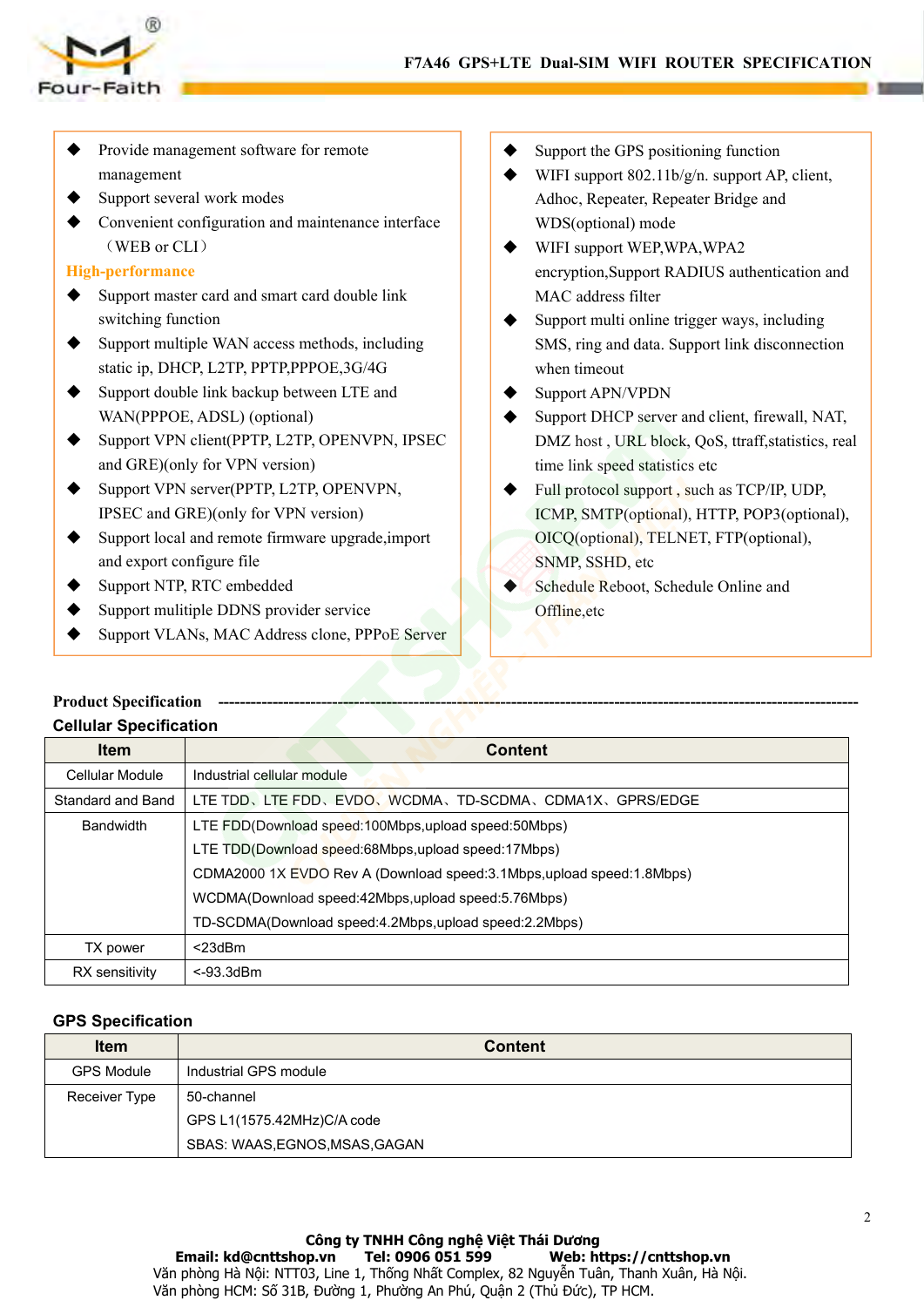



- F7A46 GPS+LTE Dual<br>
UIT-Faith<br>
Provide management software for remote<br>
management<br>
→ Support several work modes<br>
→ Convenient configuration and maintenance interface<br>
→ WIFI<br>
→ WIFI<br>
→ WIFI<br>
→ WIFI<br>
→ WIFI<br>
→ WIFI management
- 
- F7A46 GPS-<br>
UF-Faith<br>
Provide management software for remote<br>
management<br>
Support several work modes<br>
Convenient configuration and maintenance interface<br>
(WEB or CLI)<br>
High-performance Convenient configuration and maintenance interface<br>
The Support several work modes<br>
∴<br>
Convenient configuration and maintenance interface<br>
∴<br>
Convenient configuration and maintenance interface<br>
∴<br>
Convenient configuration Faith<br>
Faith<br>
Provide management software for remote<br>
management<br>
Support several work modes<br>
Convenient configuration and maintenance interface<br>
(WEB or CLI)<br>
-performance<br>
Support master card and smart card double link<br> F7A46 GPS+LTE Dual-SIM W<br>
Wur-Faith<br>
→ Provide management software for remote<br>
management<br>
→ Support several work modes<br>
→ Convenient configuration and maintenance interface<br>
→ Convenient configuration and maintenance int Faith<br>Provide management software for remote<br>management<br>Support several work modes<br>Convenient configuration and maintenance interf<br>(WEB or CLI)<br>-performance<br>Support master card and smart card double link<br>switching function <table>\n<tbody>\n<tr>\n<th>•</th>\n<td>Provide management software for remote management</td>\n</tr>\n<tr>\n<td>•</td>\n<td>Supports several work modes</td>\n</tr>\n<tr>\n<td>•</td>\n<td>Supports several work modes</td>\n</tr>\n<tr>\n<td>•</td>\n<td>Current configuration and maintenance interface</td>\n</tr>\n<tr>\n<td>•</td>\n<td>WIF (supp<br/>(WEB or CLI)</td>\n</tr>\n<tr>\n<td>•</td>\n<td>WDF (option<br/>(WEB or CLI)</td>\n</tr>\n<tr>\n<td>•</td>\n<td>WDF (option<br>entropy encryption,<br/>entropy encryption,<br/>s (WIF) support market card and smart card double link<br/>s (WIF) support static ip, DHCP, L2TP, PPTP,PPPOE,3G/4G

# **High-performance**

- 
- 
- 
- Support management soliwate for emotion of the companison of the companison of the convenient configuration and maintenance interface<br>
Support double Support master card and smart card double link<br>
Support multiple WAN a management<br>
Support several work modes<br>
Convenient configuration and maintenance interface<br>
(WEB or CLI)<br>
-**performance**<br>
Support master card and smart card double link<br>
switching function<br>
Support multiple WAN access meth Support several work modes<br>
(WEB or CLI)<br>
High-performance<br>
Support master card and smart card double link<br>
Support multiple WAN access methods, including<br>
sure sure of the switching function<br>
Support multiple WAN access Convenient coninguration and maintenance interace<br>
(WEB or CLI)<br>
-**performance**<br>
Support master card and smart card double link<br>
switching function<br>
Support multiple WAN access methods, including<br>
static ip, DHCP, L2TP, PP WEB of CLI<br> **High-performance**<br>
Support master card and smart card double link<br>
switching function<br>
Support multiple WAN access methods, including<br>
Support static ip, DHCP, L2TP, PPTP,PPPOE,3G/4G<br>
Support double link backu From and Experiment and smart card double link<br>
Support multiple WAN access methods, including<br>
Support multiple WAN access methods, including<br>
Support double link backup between LTE and<br>
WAN(PPPOE, ADSL) (optional)<br>
Supp Support master card and smart card double link<br>
switching function<br>
Support multiple WAN access methods, including<br>
SUPPORT Support double link backup between LTE and<br>
Support WAN(PPPOE, ADSL) (optional)<br>
Support VPN cli switching function<br>
Support multiple WAN access methods, including<br>
static ip, DHCP, L2TP, PPTP,PPPOE,3G/4G<br>
Support double link backup between LTE and<br>
WAN(PPPOE, ADSL) (optional)<br>
Support VPN client(PPTP, L2TP, OPENVPN, → Support multiple WAN access methods, including<br>static ip, DHCP, L2TP, PPTP,PPPOE,3G/4G<br>
→ Support double link backup between LTE and<br>
WAN(PPPOE, ADSL) (optional)<br>
→ Support VPN client(PPTP, L2TP, OPENVPN, IPSEC<br>
and GRE Support double link backup between LTE and<br>
Support double link backup between LTE and<br>
WAN(PPPOE, ADSL) (optional)<br>
Support VPN client(PPTP, L2TP, OPENVPN, IPSEC<br>
and GRE)(only for VPN version)<br>
FINE and GRE)(only for V VERIVED WAN (PPPOE, ADSL) (optional)<br>
Support VPN client(PPTP, L2TP, OPENVPN, IPSEC<br>
and GRE)(only for VPN version)<br>
Support VPN server(PPTP, L2TP, OPENVPN,<br>
Ime link speed sta<br>
Support VPN server(PPTP, L2TP, OPENVPN,<br>
I
- 
- 
- 
- 
- 
- 
- LTE Dual-SIM WIFI ROUTER SPECIFICATION<br>
Support the GPS positioning function<br>
WIFI support 802.11b/g/n. support AP, client,<br>
Adhoc, Repeater, Repeater Bridge and<br>
WDS(optional) mode **LTE Dual-SIM WIFI ROUTER SPECIFICATION**<br>
◆ Support the GPS positioning function<br>
◆ WIFI support 802.11b/g/n. support AP, client,<br>
Adhoc, Repeater, Repeater Bridge and<br>
WDS(optional) mode<br>
◆ WIFI support WEP, WPA, WPA2 **Dual-SIM WIFI ROUTER SPECIFICATION**<br>Support the GPS positioning function<br>WIFI support 802.11b/g/n. support AP, client,<br>Adhoc, Repeater, Repeater Bridge and<br>WDS(optional) mode<br>WIFI support WEP,WPA,WPA2<br>encryption,Support R
- **Dual-SIM WIFI ROUTER SPECIFICATION**<br>
Support the GPS positioning function<br>
WIFI support 802.11b/g/n. support AP, client,<br>
Adhoc, Repeater, Repeater Bridge and<br>
WDS(optional) mode<br>
WIFI support WEP,WPA,WPA2<br>
encryption,Sup **LTE Dual-SIM WIFI ROUTER SPECIFICATION**<br>
◆ Support the GPS positioning function<br>
◆ WIFI support 802.11b/g/n. support AP, client,<br>
Adhoc, Repeater, Repeater Bridge and<br>
WDS(optional) mode<br>
◆ WIFI support WEP,WPA,WPA2<br>
en **Dual-SIM WIFI ROUTER SPECIFICATION**<br>
Support the GPS positioning function<br>
WIFI support 802.11b/g/n. support AP, client,<br>
Adhoc, Repeater, Repeater Bridge and<br>
WDS(optional) mode<br>
WIFI support WEP,WPA,WPA2<br>
encryption,Sup **Dual-SIM WIFI ROUTER SPECIFICATION**<br>
Support the GPS positioning function<br>
WIFI support 802.11b/g/n. support AP, client,<br>
Adhoc, Repeater, Repeater Bridge and<br>
WDS(optional) mode<br>
WIFI support WEP,WPA,WPA2<br>
encryption,Sup
- <ul>\n<li>Support the GPS positioning function</li>\n<li>WIFI support 802.11b/g/n. support AP, client, Adhoc, Repeater, Repeater Bridge and WDS(optional) mode</li>\n<li>WIFI support WEP, WPA, WPA2 encryption, Support RADIUS authentication and MAC address filter</li>\n<li>Support multi online trigger ways, including SMS, ring and data. Support link disconnection when timeout</li>\n<li>Support APN/VPDN</li>\n</ul> Support the GPS positioning function<br>WIFI support 802.11b/g/n. support AP, client,<br>Adhoc, Repeater, Repeater Bridge and<br>WDS(optional) mode<br>WIFI support WEP,WPA,WPA2<br>encryption,Support RADIUS authentication and<br>MAC address Support the GPS positioning function<br>WIFI support 802.11b/g/n. support AP, clien<br>Adhoc, Repeater, Repeater Bridge and<br>WDS(optional) mode<br>WIFI support WEP,WPA,WPA2<br>encryption,Support RADIUS authentication<br>MAC address filter
- 
- <ul>\n<li> support the GPS postloading function</li>\n<li> WITH support 802.11b/g/n. support AP, client, Adhoc, Repeater, Repeater Bridge and WDS(optional) mode</li>\n<li> WITH support WEP, WPA, WPA2 encryption, Support RADIUS authentication and MAC address filter</li>\n<li> Support multi online trigger ways, including SMS, ring and data. Support link disconnection when timeout</li>\n<li> Support APN/VPDN Support DHCP server and client, firewall, NAT, DMZ host, URL block, QoS, traffic statistics, real time link speed statistics etc</li>\n</ul> VET Support 802.110/g/n. support AP, chent,<br>Adhoc, Repeater, Repeater Bridge and<br>WDS(optional) mode<br>
→ WIFI support WEP,WPA,WPA2<br>
encryption,Support RADIUS authentication and<br>
MAC address filter<br>
→ Support multi online tr Adnoc, kepeater, kepeater Bridge and<br>
WDS(optional) mode<br>
WIFI support WEP,WPA,WPA2<br>
encryption,Support RADIUS authentication and<br>
MAC address filter<br>
Support multi online trigger ways, including<br>
SMS, ring and data. Suppo WIFI support WEP,WPA,WPA2<br>
encryption,Support RADIUS authentication and<br>
MAC address filter<br>
Support multi online trigger ways, including<br>
SMS, ring and data. Support link disconnection<br>
when timeout<br>
Support APN/VPDN<br>
Sup
- Full protocol support RADIUS authentication and<br>
MAC address filter<br>
⇒ Support multi online trigger ways, including<br>
SMS, ring and data. Support link disconnection<br>
when timeout<br>
⇒ Support APN/VPDN<br>
Support DHCP server an encryption, support KADIUS authentication and<br>
MAC address filter<br>
Support multi online trigger ways, including<br>
SMS, ring and data. Support link disconnection<br>
when timeout<br>
Support APN/VPDN<br>
Support DHCP server and clien MAC address niter<br>
Support multi online trigger ways, including<br>
SMS, ring and data. Support link disconnection<br>
when timeout<br>
Support APN/VPDN<br>
Support DHCP server and client, firewall, NAT,<br>
DMZ host , URL block, QoS, tt Support multi online trigger ways, including<br>
SMS, ring and data. Support link disconnection<br>
when timeout<br>
Support APN/VPDN<br>
Support DHCP server and client, firewall, NAT,<br>
DMZ host, URL block, QoS, ttraff, statistics, re SMS, Fing and data. Support link disconnection<br>when timeout<br>
Support APN/VPDN<br>
Support DHCP server and client, firewall, NAT,<br>
DMZ host, URL block, QoS, ttraff, statistics, real<br>
time link speed statistics etc<br>
Full protoc
- Offline,etc

|                                                         | and GRE)(only for VPN version)                                          | time link speed statistics etc              |
|---------------------------------------------------------|-------------------------------------------------------------------------|---------------------------------------------|
|                                                         | Support VPN server(PPTP, L2TP, OPENVPN,                                 | Full protocol support, such as TCP/IP, UDP, |
| IPSEC and GRE)(only for VPN version)                    |                                                                         | ICMP, SMTP(optional), HTTP, POP3(optional), |
| Support local and remote firmware upgrade, import       |                                                                         | OICQ(optional), TELNET, FTP(optional),      |
| and export configure file<br>SNMP, SSHD, etc            |                                                                         |                                             |
|                                                         | Support NTP, RTC embedded                                               | Schedule Reboot, Schedule Online and        |
| Support mulitiple DDNS provider service<br>Offline, etc |                                                                         |                                             |
|                                                         | Support VLANs, MAC Address clone, PPPoE Server                          |                                             |
|                                                         |                                                                         |                                             |
| <b>Product Specification</b>                            |                                                                         |                                             |
| <b>Cellular Specification</b>                           |                                                                         |                                             |
| Item                                                    | <b>Content</b>                                                          |                                             |
| Cellular Module                                         | Industrial cellular module                                              |                                             |
| <b>Standard and Band</b>                                | LTE TDD、LTE FDD、EVDO、WCDMA、TD-SCDMA、CDMA1X、GPRS/EDGE                    |                                             |
| <b>Bandwidth</b>                                        | LTE FDD(Download speed:100Mbps,upload speed:50Mbps)                     |                                             |
|                                                         | LTE TDD(Download speed:68Mbps, upload speed:17Mbps)                     |                                             |
|                                                         | CDMA2000 1X EVDO Rev A (Download speed: 3.1Mbps, upload speed: 1.8Mbps) |                                             |
|                                                         | WCDMA(Download speed:42Mbps,upload speed:5.76Mbps)                      |                                             |
|                                                         | TD-SCDMA(Download speed:4.2Mbps,upload speed:2.2Mbps)                   |                                             |
| TX power                                                | $<$ 23dBm                                                               |                                             |
| RX sensitivity                                          | <-93.3dBm                                                               |                                             |
|                                                         |                                                                         |                                             |
| <b>GPS Specification</b>                                |                                                                         |                                             |
| Item                                                    |                                                                         | <b>Content</b>                              |
| <b>GPS Module</b>                                       | Industrial GPS module                                                   |                                             |
| Receiver Type                                           | 50-channel                                                              |                                             |
|                                                         | GPS L1(1575.42MHz)C/A code                                              |                                             |
|                                                         | CRAC. WAAS FONDS MOAS CACAN                                             |                                             |

|                          | WCDMA(Download speed:42Mbps,upload speed:5.76Mbps)    |
|--------------------------|-------------------------------------------------------|
|                          | TD-SCDMA(Download speed:4.2Mbps,upload speed:2.2Mbps) |
| TX power                 | $<$ 23dBm                                             |
| RX sensitivity           | $< -93.3$ d $Bm$                                      |
|                          |                                                       |
| <b>GPS Specification</b> |                                                       |
| <b>Item</b>              | <b>Content</b>                                        |
| <b>GPS Module</b>        | Industrial GPS module                                 |
| Receiver Type            | 50-channel                                            |
|                          | GPS L1(1575.42MHz)C/A code                            |
|                          |                                                       |
|                          | SBAS: WAAS, EGNOS, MSAS, GAGAN                        |
|                          |                                                       |
|                          |                                                       |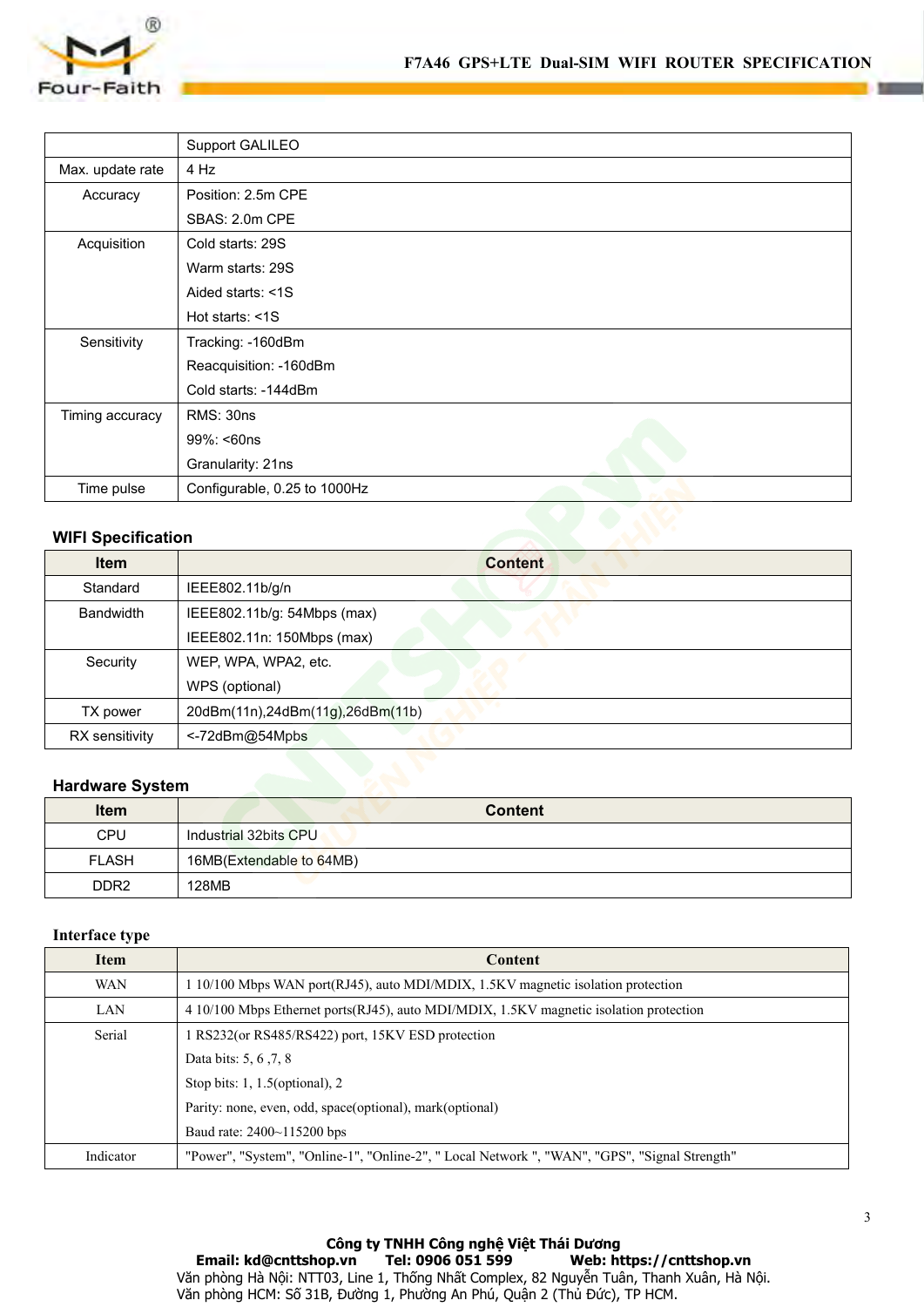

|                           |                              | F7A46 GPS+LTE Dual-SIM WIFI ROUTER SPECIFICATI |  |  |
|---------------------------|------------------------------|------------------------------------------------|--|--|
| Four-Faith                |                              |                                                |  |  |
|                           |                              |                                                |  |  |
|                           | Support GALILEO              |                                                |  |  |
| Max. update rate          | 4 Hz                         |                                                |  |  |
| Accuracy                  | Position: 2.5m CPE           |                                                |  |  |
|                           | SBAS: 2.0m CPE               |                                                |  |  |
| Acquisition               | Cold starts: 29S             |                                                |  |  |
|                           | Warm starts: 29S             |                                                |  |  |
|                           | Aided starts: <1S            |                                                |  |  |
|                           | Hot starts: <1S              |                                                |  |  |
| Sensitivity               | Tracking: - 160dBm           |                                                |  |  |
|                           | Reacquisition: -160dBm       |                                                |  |  |
|                           | Cold starts: -144dBm         |                                                |  |  |
| Timing accuracy           | <b>RMS: 30ns</b>             |                                                |  |  |
|                           | 99%: <60ns                   |                                                |  |  |
|                           | Granularity: 21ns            |                                                |  |  |
| Time pulse                | Configurable, 0.25 to 1000Hz |                                                |  |  |
|                           |                              |                                                |  |  |
| <b>WIFI Specification</b> |                              |                                                |  |  |
| <b>Item</b>               |                              | <b>Content</b>                                 |  |  |
| Standard                  | IEEE802.11b/g/n              |                                                |  |  |
| Bandwidth                 | IEEE802.11b/g: 54Mbps (max)  |                                                |  |  |

| Timing accuracy           | <b>RMS: 30ns</b>                 |  |
|---------------------------|----------------------------------|--|
|                           | 99%: <60ns                       |  |
|                           | Granularity: 21ns                |  |
| Time pulse                | Configurable, 0.25 to 1000Hz     |  |
|                           |                                  |  |
| <b>WIFI Specification</b> |                                  |  |
| <b>Item</b>               | <b>Content</b>                   |  |
| Standard                  | IEEE802.11b/g/n                  |  |
| <b>Bandwidth</b>          | IEEE802.11b/g: 54Mbps (max)      |  |
|                           | IEEE802.11n: 150Mbps (max)       |  |
| Security                  | WEP, WPA, WPA2, etc.             |  |
|                           | WPS (optional)                   |  |
| TX power                  | 20dBm(11n),24dBm(11g),26dBm(11b) |  |
| RX sensitivity            | <- 72dBm@54Mpbs                  |  |
|                           |                                  |  |
| <b>Hardware System</b>    |                                  |  |
| <b>Item</b>               | <b>Content</b>                   |  |
| CPU                       | Industrial 32bits CPU            |  |
| <b>FLASH</b>              | 16MB(Extendable to 64MB)         |  |
| DDR <sub>2</sub>          | 128MB                            |  |
|                           |                                  |  |

| Security               | WEP, WPA, WPA2, etc.                                                                   |
|------------------------|----------------------------------------------------------------------------------------|
|                        | WPS (optional)                                                                         |
| TX power               | 20dBm(11n),24dBm(11g),26dBm(11b)                                                       |
| RX sensitivity         | <-72dBm@54Mpbs                                                                         |
|                        |                                                                                        |
| <b>Hardware System</b> |                                                                                        |
| <b>Item</b>            | <b>Content</b>                                                                         |
| <b>CPU</b>             | Industrial 32bits CPU                                                                  |
| <b>FLASH</b>           | 16MB(Extendable to 64MB)                                                               |
| DDR <sub>2</sub>       | 128MB                                                                                  |
|                        |                                                                                        |
| Interface type         |                                                                                        |
| <b>Item</b>            | Content                                                                                |
| <b>WAN</b>             | 1 10/100 Mbps WAN port(RJ45), auto MDI/MDIX, 1.5KV magnetic isolation protection       |
| LAN                    | 4 10/100 Mbps Ethernet ports(RJ45), auto MDI/MDIX, 1.5KV magnetic isolation protection |

| Item             | <b>Content</b>                                                                                |
|------------------|-----------------------------------------------------------------------------------------------|
| CPU              | Industrial 32bits CPU                                                                         |
| <b>FLASH</b>     | 16MB(Extendable to 64MB)                                                                      |
| DDR <sub>2</sub> | 128MB                                                                                         |
|                  |                                                                                               |
| Interface type   |                                                                                               |
| Item             | Content                                                                                       |
| <b>WAN</b>       | 1 10/100 Mbps WAN port(RJ45), auto MDI/MDIX, 1.5KV magnetic isolation protection              |
| LAN              | 4 10/100 Mbps Ethernet ports (RJ45), auto MDI/MDIX, 1.5KV magnetic isolation protection       |
| Serial           | 1 RS232(or RS485/RS422) port, 15KV ESD protection                                             |
|                  | Data bits: 5, 6, 7, 8                                                                         |
|                  | Stop bits: 1, 1.5(optional), 2                                                                |
|                  | Parity: none, even, odd, space(optional), mark(optional)                                      |
|                  | Baud rate: 2400~115200 bps                                                                    |
|                  | "Power", "System", "Online-1", "Online-2", " Local Network ", "WAN", "GPS", "Signal Strength" |